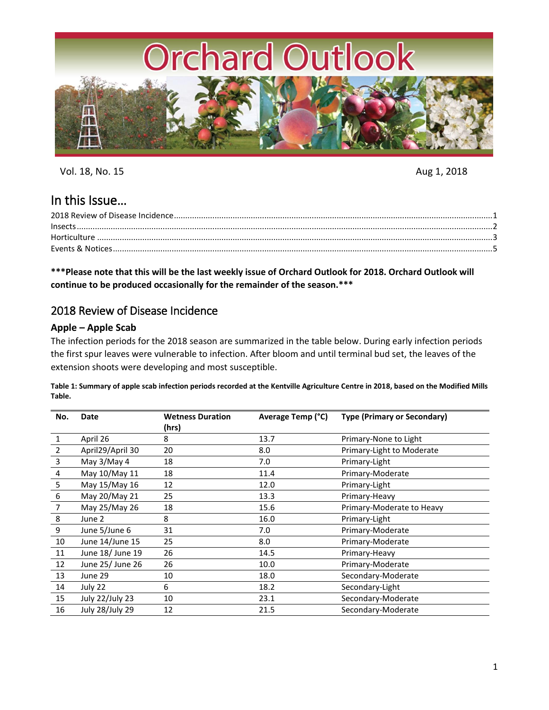

Vol. 18, No. 15 Aug 1, 2018

# In this Issue…

**\*\*\*Please note that this will be the last weekly issue of Orchard Outlook for 2018. Orchard Outlook will continue to be produced occasionally for the remainder of the season.\*\*\***

# <span id="page-0-0"></span>2018 Review of Disease Incidence

# **Apple – Apple Scab**

The infection periods for the 2018 season are summarized in the table below. During early infection periods the first spur leaves were vulnerable to infection. After bloom and until terminal bud set, the leaves of the extension shoots were developing and most susceptible.

**Table 1: Summary of apple scab infection periods recorded at the Kentville Agriculture Centre in 2018, based on the Modified Mills Table.**

| No.            | Date             | <b>Wetness Duration</b> | Average Temp (°C) | <b>Type (Primary or Secondary)</b> |
|----------------|------------------|-------------------------|-------------------|------------------------------------|
|                |                  | (hrs)                   |                   |                                    |
| 1              | April 26         | 8                       | 13.7              | Primary-None to Light              |
| 2              | April29/April 30 | 20                      | 8.0               | Primary-Light to Moderate          |
| 3              | May 3/May 4      | 18                      | 7.0               | Primary-Light                      |
| 4              | May 10/May 11    | 18                      | 11.4              | Primary-Moderate                   |
| 5              | May 15/May 16    | 12                      | 12.0              | Primary-Light                      |
| 6              | May 20/May 21    | 25                      | 13.3              | Primary-Heavy                      |
| $\overline{7}$ | May 25/May 26    | 18                      | 15.6              | Primary-Moderate to Heavy          |
| 8              | June 2           | 8                       | 16.0              | Primary-Light                      |
| 9              | June 5/June 6    | 31                      | 7.0               | Primary-Moderate                   |
| 10             | June 14/June 15  | 25                      | 8.0               | Primary-Moderate                   |
| 11             | June 18/ June 19 | 26                      | 14.5              | Primary-Heavy                      |
| 12             | June 25/ June 26 | 26                      | 10.0              | Primary-Moderate                   |
| 13             | June 29          | 10                      | 18.0              | Secondary-Moderate                 |
| 14             | July 22          | 6                       | 18.2              | Secondary-Light                    |
| 15             | July 22/July 23  | 10                      | 23.1              | Secondary-Moderate                 |
| 16             | July 28/July 29  | 12                      | 21.5              | Secondary-Moderate                 |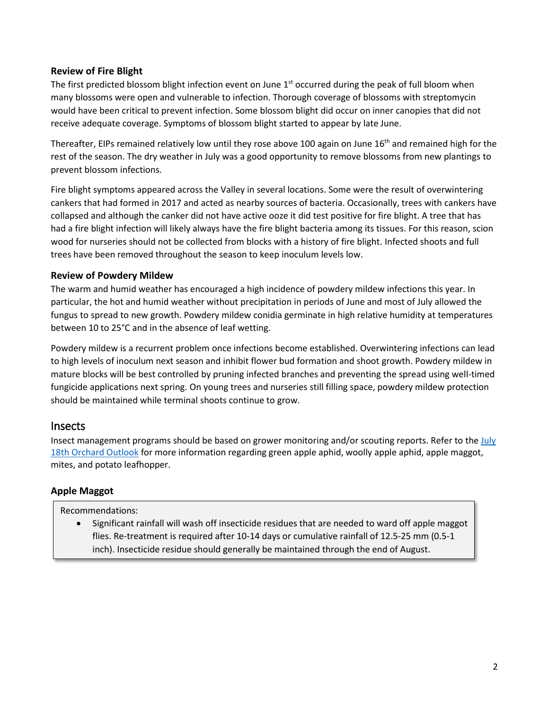## **Review of Fire Blight**

The first predicted blossom blight infection event on June 1<sup>st</sup> occurred during the peak of full bloom when many blossoms were open and vulnerable to infection. Thorough coverage of blossoms with streptomycin would have been critical to prevent infection. Some blossom blight did occur on inner canopies that did not receive adequate coverage. Symptoms of blossom blight started to appear by late June.

Thereafter, EIPs remained relatively low until they rose above 100 again on June 16<sup>th</sup> and remained high for the rest of the season. The dry weather in July was a good opportunity to remove blossoms from new plantings to prevent blossom infections.

Fire blight symptoms appeared across the Valley in several locations. Some were the result of overwintering cankers that had formed in 2017 and acted as nearby sources of bacteria. Occasionally, trees with cankers have collapsed and although the canker did not have active ooze it did test positive for fire blight. A tree that has had a fire blight infection will likely always have the fire blight bacteria among its tissues. For this reason, scion wood for nurseries should not be collected from blocks with a history of fire blight. Infected shoots and full trees have been removed throughout the season to keep inoculum levels low.

# **Review of Powdery Mildew**

The warm and humid weather has encouraged a high incidence of powdery mildew infections this year. In particular, the hot and humid weather without precipitation in periods of June and most of July allowed the fungus to spread to new growth. Powdery mildew conidia germinate in high relative humidity at temperatures between 10 to 25°C and in the absence of leaf wetting.

Powdery mildew is a recurrent problem once infections become established. Overwintering infections can lead to high levels of inoculum next season and inhibit flower bud formation and shoot growth. Powdery mildew in mature blocks will be best controlled by pruning infected branches and preventing the spread using well-timed fungicide applications next spring. On young trees and nurseries still filling space, powdery mildew protection should be maintained while terminal shoots continue to grow.

# <span id="page-1-0"></span>Insects

Insect management programs should be based on grower monitoring and/or scouting reports. Refer to th[e July](https://perennia.us4.list-manage.com/track/click?u=642ec925a6b70139cd668d4b0&id=e5c8880946&e=ded1afaffd)  [18th Orchard Outlook](https://perennia.us4.list-manage.com/track/click?u=642ec925a6b70139cd668d4b0&id=e5c8880946&e=ded1afaffd) for more information regarding green apple aphid, woolly apple aphid, apple maggot, mites, and potato leafhopper.

# **Apple Maggot**

## Recommendations:

• Significant rainfall will wash off insecticide residues that are needed to ward off apple maggot flies. Re-treatment is required after 10-14 days or cumulative rainfall of 12.5-25 mm (0.5-1 inch). Insecticide residue should generally be maintained through the end of August.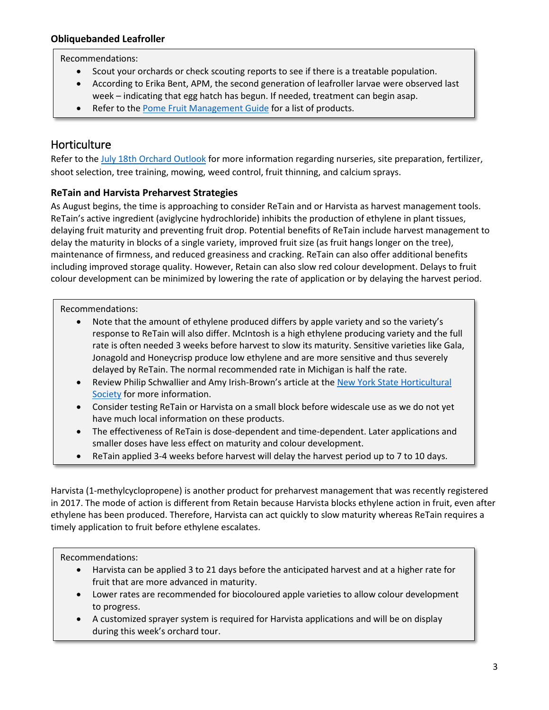# **Obliquebanded Leafroller**

### Recommendations:

- Scout your orchards or check scouting reports to see if there is a treatable population.
- According to Erika Bent, APM, the second generation of leafroller larvae were observed last week – indicating that egg hatch has begun. If needed, treatment can begin asap.
- Refer to the [Pome Fruit Management Guide](http://www.perennia.ca/wp-content/uploads/2018/04/pome-fruit-spray-guide-2018.pdf) for a list of products.

# <span id="page-2-0"></span>**Horticulture**

Refer to th[e July 18th Orchard Outlook](https://perennia.us4.list-manage.com/track/click?u=642ec925a6b70139cd668d4b0&id=e5c8880946&e=ded1afaffd) for more information regarding nurseries, site preparation, fertilizer, shoot selection, tree training, mowing, weed control, fruit thinning, and calcium sprays.

# **ReTain and Harvista Preharvest Strategies**

As August begins, the time is approaching to consider ReTain and or Harvista as harvest management tools. ReTain's active ingredient (aviglycine hydrochloride) inhibits the production of ethylene in plant tissues, delaying fruit maturity and preventing fruit drop. Potential benefits of ReTain include harvest management to delay the maturity in blocks of a single variety, improved fruit size (as fruit hangs longer on the tree), maintenance of firmness, and reduced greasiness and cracking. ReTain can also offer additional benefits including improved storage quality. However, Retain can also slow red colour development. Delays to fruit colour development can be minimized by lowering the rate of application or by delaying the harvest period.

Recommendations:

- Note that the amount of ethylene produced differs by apple variety and so the variety's response to ReTain will also differ. McIntosh is a high ethylene producing variety and the full rate is often needed 3 weeks before harvest to slow its maturity. Sensitive varieties like Gala, Jonagold and Honeycrisp produce low ethylene and are more sensitive and thus severely delayed by ReTain. The normal recommended rate in Michigan is half the rate.
- Review Philip Schwallier and Amy Irish-Brown's article at the New York State Horticultural [Society](http://nyshs.org/wp-content/uploads/2014/09/Schwallier-Pages-15-18-NYFQ-Fall-2014-Book-4.pdf) for more information.
- Consider testing ReTain or Harvista on a small block before widescale use as we do not yet have much local information on these products.
- The effectiveness of ReTain is dose-dependent and time-dependent. Later applications and smaller doses have less effect on maturity and colour development.
- ReTain applied 3-4 weeks before harvest will delay the harvest period up to 7 to 10 days.

Harvista (1-methylcyclopropene) is another product for preharvest management that was recently registered in 2017. The mode of action is different from Retain because Harvista blocks ethylene action in fruit, even after ethylene has been produced. Therefore, Harvista can act quickly to slow maturity whereas ReTain requires a timely application to fruit before ethylene escalates.

Recommendations:

- Harvista can be applied 3 to 21 days before the anticipated harvest and at a higher rate for fruit that are more advanced in maturity.
- Lower rates are recommended for biocoloured apple varieties to allow colour development to progress.
- A customized sprayer system is required for Harvista applications and will be on display during this week's orchard tour.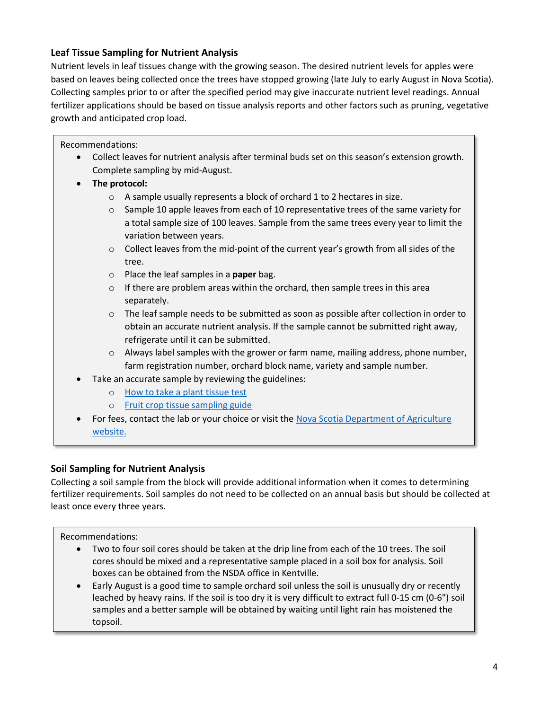# **Leaf Tissue Sampling for Nutrient Analysis**

Nutrient levels in leaf tissues change with the growing season. The desired nutrient levels for apples were based on leaves being collected once the trees have stopped growing (late July to early August in Nova Scotia). Collecting samples prior to or after the specified period may give inaccurate nutrient level readings. Annual fertilizer applications should be based on tissue analysis reports and other factors such as pruning, vegetative growth and anticipated crop load.

Recommendations:

- Collect leaves for nutrient analysis after terminal buds set on this season's extension growth. Complete sampling by mid-August.
- **The protocol:**
	- o A sample usually represents a block of orchard 1 to 2 hectares in size.
	- $\circ$  Sample 10 apple leaves from each of 10 representative trees of the same variety for a total sample size of 100 leaves. Sample from the same trees every year to limit the variation between years.
	- o Collect leaves from the mid-point of the current year's growth from all sides of the tree.
	- o Place the leaf samples in a **paper** bag.
	- $\circ$  If there are problem areas within the orchard, then sample trees in this area separately.
	- $\circ$  The leaf sample needs to be submitted as soon as possible after collection in order to obtain an accurate nutrient analysis. If the sample cannot be submitted right away, refrigerate until it can be submitted.
	- o Always label samples with the grower or farm name, mailing address, phone number, farm registration number, orchard block name, variety and sample number.
- Take an accurate sample by reviewing the guidelines:
	- o [How to take a plant tissue test](https://novascotia.ca/agri/documents/lab-services/analytical-lab-howto-planttissue.pdf)
	- o [Fruit crop tissue sampling guide](https://novascotia.ca/agri/documents/lab-services/analytical-lab-fruitcroptissue.pdf)
- For fees, contact the lab or your choice or visit the [Nova Scotia Department of Agriculture](https://novascotia.ca/agri/documents/lab-services/analytical-lab-fees.pdf)  [website.](https://novascotia.ca/agri/documents/lab-services/analytical-lab-fees.pdf)

# **Soil Sampling for Nutrient Analysis**

Collecting a soil sample from the block will provide additional information when it comes to determining fertilizer requirements. Soil samples do not need to be collected on an annual basis but should be collected at least once every three years.

Recommendations:

- Two to four soil cores should be taken at the drip line from each of the 10 trees. The soil cores should be mixed and a representative sample placed in a soil box for analysis. Soil boxes can be obtained from the NSDA office in Kentville.
- Early August is a good time to sample orchard soil unless the soil is unusually dry or recently leached by heavy rains. If the soil is too dry it is very difficult to extract full 0-15 cm (0-6") soil samples and a better sample will be obtained by waiting until light rain has moistened the topsoil.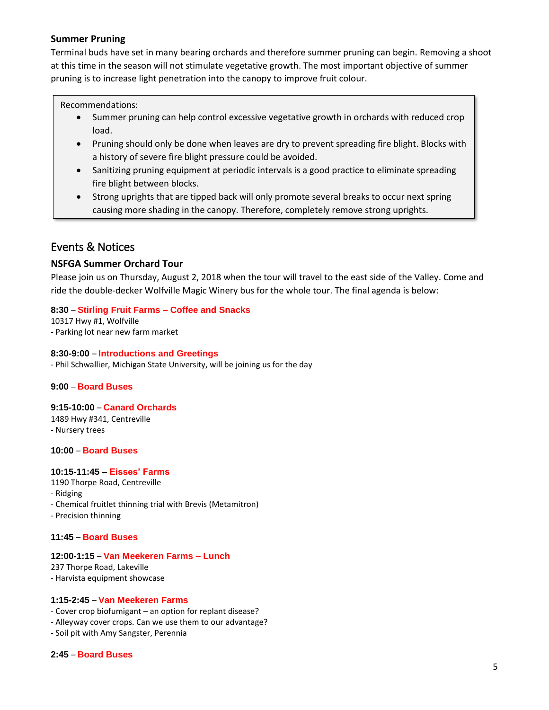### **Summer Pruning**

Terminal buds have set in many bearing orchards and therefore summer pruning can begin. Removing a shoot at this time in the season will not stimulate vegetative growth. The most important objective of summer pruning is to increase light penetration into the canopy to improve fruit colour.

#### Recommendations:

- Summer pruning can help control excessive vegetative growth in orchards with reduced crop load.
- Pruning should only be done when leaves are dry to prevent spreading fire blight. Blocks with a history of severe fire blight pressure could be avoided.
- Sanitizing pruning equipment at periodic intervals is a good practice to eliminate spreading fire blight between blocks.
- Strong uprights that are tipped back will only promote several breaks to occur next spring causing more shading in the canopy. Therefore, completely remove strong uprights.

# <span id="page-4-0"></span>Events & Notices

### **NSFGA Summer Orchard Tour**

Please join us on Thursday, August 2, 2018 when the tour will travel to the east side of the Valley. Come and ride the double-decker Wolfville Magic Winery bus for the whole tour. The final agenda is below:

#### **8:30** – **Stirling Fruit Farms – Coffee and Snacks**

10317 Hwy #1, Wolfville - Parking lot near new farm market

#### **8:30-9:00** – **Introductions and Greetings**

- Phil Schwallier, Michigan State University, will be joining us for the day

#### **9:00** – **Board Buses**

#### **9:15-10:00** – **Canard Orchards**

1489 Hwy #341, Centreville - Nursery trees

#### **10:00** – **Board Buses**

#### **10:15-11:45 – Eisses' Farms**

- 1190 Thorpe Road, Centreville
- Ridging
- Chemical fruitlet thinning trial with Brevis (Metamitron)
- Precision thinning

#### **11:45** – **Board Buses**

#### **12:00-1:15** – **Van Meekeren Farms – Lunch**

237 Thorpe Road, Lakeville - Harvista equipment showcase

#### **1:15-2:45** – **Van Meekeren Farms**

- Cover crop biofumigant an option for replant disease?
- Alleyway cover crops. Can we use them to our advantage?
- Soil pit with Amy Sangster, Perennia

#### **2:45** – **Board Buses**